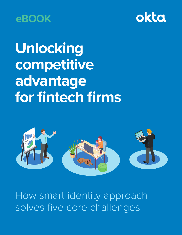



**Unlocking competitive advantage for fintech firms**



How smart identity approach solves five core challenges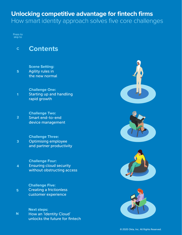### **Unlocking competitive advantage for fintech firms** How smart identity approach solves five core challenges

Press to skip to

### **<sup>C</sup> Contents**

**Scene Setting:** Agility rules in the new normal **S**

**Challenge One:** Starting up and handling rapid growth **1**

**Challenge Two:** Smart end-to-end device management **2**

**Challenge Three:** Optimising employee and partner productivity **3**

**Challenge Four:** Ensuring cloud security without obstructing access **4**

**Challenge Five:** Creating a frictionless customer experience **5**

**Next steps:** How an 'Identity Cloud' unlocks the future for fintech **N**

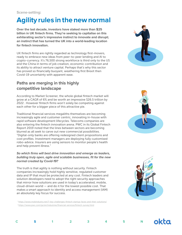# **Agility rules in the new normal**

**Over the last decade, investors have staked more than \$25 billion in UK fintech firms. They're seeking to capitalise on this exhilarating sector's impressive instinct to innovate and disrupt; an instinct that has turned the UK into a world-leading location for fintech innovation.** 

UK fintech firms are rightly regarded as technology first-movers, ready to embrace new ideas from peer-to-peer lending and AI to crypto-currency. It's 76,500 strong workforce is third only to the US and the China in terms of job creation, economic contribution and its ability to attract venture capital. Perhaps that's why this sector has proved so financially buoyant, weathering first Brexit then Covid-19 uncertainty with apparent ease.

### **Paths are merging in this highly competitive landscape**

According to Market Screener, the whole global fintech market will grow at a CAGR of 6% and be worth an impressive \$26.5 trillion by 2022 . However fintech firms won't solely be competing against each other for a bigger piece of this attractive pie.

Traditional financial services megaliths themselves are becoming increasingly agile and customer centric, innovating in-house with rapid software development lifecycles. Telecoms companies are also entering the fintech innovation arena. PWC in its Global Fintech Report 2019 noted that the lines between sectors are becoming blurred as all seek to carve out new commercial possibilities. "Digital-only banks are offering redesigned client propositions and cost profiles. Investment managers are deploying fully customised robo-advice. Insurers are using sensors to monitor people's health and help prevent illness."

#### **So which firms will best drive innovation and emerge as leaders, building truly open, agile and scalable businesses, fit for the new normal created by Covid-19?**

The truth is that agility is nothing without security. Fintech companies increasingly hold highly sensitive, regulated customer data and IP that must be protected at any cost. Fintech leaders and solution developers need to adopt the right security approaches that mirror how solutions are used in today's accelerated, mobile, cloud-driven world — and do it for the lowest possible cost. That makes a smart approach to identity and access management (IAM) an absolutely key focus for success.

 1 https://www.mobindustry.net/7-key-challenges-fintech-startup-faces-and-their-solutions/ 2 https://www.pwc.com/gx/en/industries/financial-services/fintech-survey.html







**C S 1 2 3 4 5 N**

okta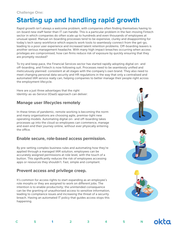# **Starting up and handling rapid growth**

Rapid growth isn't always a welcome problem, with companies often finding themselves having to on-board new staff faster than IT can handle. This is a particular problem in the fast-moving Fintech sector in which companies do often scale up to hundreds and even thousands of employees at unusual speed. Manual on-boarding processes tend to be expensive, clunky and disappointing for today's tech savvy workforce which expects work tools to seamlessly connect from the get-go, leading to a poor user experience and increased talent retention problems. Off-boarding leavers is another serious management headache. With many high impact breaches occurring when access privileges are compromised, how can firms reduce risk of exposure by quickly ensuring that they are promptly revoked?

To try and keep pace, the Financial Services sector has started rapidly adopting digital on- and off-boarding, and Fintech is now following suit. Processes need to be seamlessly unified and meticulously planned: consistent at all stages with the company's own brand. They also need to meet changing personal data security and HR regulations in the way that only a centralised and automated IAM service really can, helping companies to better manage their people right across the employment lifecycle.

Here are a just three advantages that the right Identity-as-as-Service (IDaaS) approach can deliver:

### **Manage user lifecycles remotely**

In these times of pandemic, remote working is becoming the norm and many organisations are choosing agile, premise-light new operating models. Automating digital on- and off-boarding takes processes up into the cloud so employees can commence, manage and even end their journey online, without ever physically entering the office.

### **Enable secure, role-based access permission.**

By pre-setting complex business rules and automating how they're applied through a managed IAM solution, employees can be accurately assigned permissions at role level, with the touch of a button. This significantly reduces the risk of employees accessing apps or resources they shouldn't. Fast, simple and compliant.

### **Prevent access and privilege creep.**

It's common for access rights to start expanding as an employee's role morphs or they are assigned to work on different jobs. The intention is to enable productivity; the unintended consequence can be the granting of unauthorised access to sensitive information, leading to compliance issues and increasing the threat of a security breach. Having an automated IT policy that guides access stops this happening.







| . . | ۰,<br>×.                                    |  |  |
|-----|---------------------------------------------|--|--|
|     |                                             |  |  |
|     |                                             |  |  |
|     | ł<br>٠<br><b>Contract Contract Contract</b> |  |  |
|     |                                             |  |  |

**C S 1 2 3 4 5 N**

okta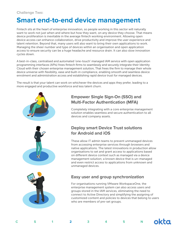# **Smart end-to-end device management**

Fintech sits at the heart of enterprise innovation, so people working in this sector will naturally want to work not just when and where but how they want, on any device they choose. That means device proliferation is inevitable in the average fintech working environment. Allowing open device access can enhance collaboration, drive productivity and improve the user experience and talent retention. Beyond that, many users will also want to bring their own applications to work. Managing the sheer number and type of devices within an organisation and open application access to ensure security can be a huge headache and resource drain. It can also slow innovation cycles down.

A best-in-class, centralised and automated 'one-touch' managed IAM service with open application programming interfaces (APIs) frees fintech firms to seamlessly and securely integrate their Identity Cloud with their chosen enterprise management solution, That frees the firm to manage their whole device universe with flexibility, ease and built-in compliance, enabling smooth and seamless device enrolment and administration access and establishing rapid device trust for managed devices.

The result is that your talent can work on whichever the devices and apps they prefer, leading to a more engaged and productive workforce and less talent churn.



### **Empower Single Sign-On (SSO) and Multi-Factor Authentication (MFA)**

Completely integrating with a core enterprise management solution enables seamless and secure authentication to all devices and company assets.

### **Deploy smart Device Trust solutions for Android and iOS**

These allow IT admin teams to prevent unmanaged devices from accessing enterprise services through browsers and native applications. The latest innovations in production allow organisations to set and grant access to applications based on different device context such as managed via a device management solution; a known device that is un-managed and even restrict access to applications from unknown and unmanaged devices.

### **Easy user and group synchronization**

For organisations running VMware WorkspaceOne, the enterprise management system can also access users and groups stored in the IAM services, eliminating the need to connect to Active Directory and simplifying the assigning of customized content and policies to devices that belong to users who are members of pre-set groups.

**C S 1 2 3 4 5 N**

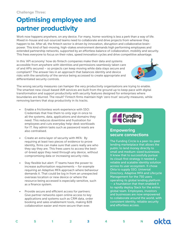# **Optimising employee and partner productivity**

Work now happens anywhere, on any device. For many, home-working is less a perk than a way of life. Mixed in-house and out-sourced teams need to collaborate and drive projects from wherever they happen to be. After all, the fintech sector is driven by innovation, disruption and collaborative brainpower. This kind of fast-moving, high-stakes environment demands high performing employees and extended partnership networks, supported by an effortless balance of collaboration, mobility and security. This frees everyone to focus on their roles, speed innovation cycles and drive competitive advantage.

In this 'API economy' how do fintech companies make their data and systems accessible from anywhere with identities and permissions seamlessly taken care of and APIs secured – so projects can keep moving while data stays secure and compliant? The answer lies in an approach that balances identity and device risks with the sensitivity of the service being accessed to create appropriate and differentiated security controls.



The wrong security measures can hamper the very productivity organisations are trying to enable. The smartest new cloud-based IAM services are built from the ground up to keep pace with digital transformation and support productivity with security features designed for enterprises where boundaries are blurred. The result? Fintech firms maintain high 'zero trust' security measures, while removing barriers that stop productivity in its tracks.

- Enable a frictionless work experience with SSO: Credentials that free them to only sign in once to all the systems, data, applications and domains they need. This reduces downtime and frustration for employees and cuts everyday help-desk workloads for IT. Key admin tasks such as password resets are also centralised.
- Create an extra layer of security with MFA: By requiring at least two pieces of evidence to prove identity, firms can make sure that users really are who they say they are. This frees users to access the bestof-breed apps they need through any device, without compromising data or increasing security risks.
- Stay flexible but alert: IT teams have the power to increase authorisation requirements – for example requiring an Adaptive MFA approach where behaviour demands it. That could be log in from an unexpected overseas location or new device or where the resource being accessed is especially sensitive, such as a finance system.
- Provide secure and efficient access for partners: Give partner networks open online access to key applications and systems such as CRM data, order booking and sales enablement tools, making B2B collaboration easier and more secure than ever.



#### **Empowering secure connections**

The Funding Circle is a peer-to-peer lending marketplace that allows the public to lend money directly to small and medium-sized businesses. It knew that to successfully pursue its cloud-first strategy it needed a reliable and scalable identity solution across its user ecosystem. It chose Okta to supply SSO, Universal Directory, Adaptive MFA and Lifecycle Management for the 750 users operating its global lending platform  $-$  a foundation that then enabled it to rapidly deploy Slack for the entire global team. Employees, investors and businesses are now empowered to collaborate around the world, with consistent identity, reliable security and effortless access.

**C S 1 2 3 4 5 N**

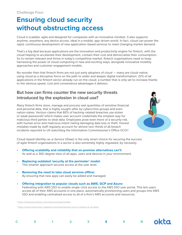# **Ensuring cloud security without obstructing access**

Cloud is scalable, agile and designed for companies with an innovative mindset. It also supports anytime, anywhere, any device access: ideal in a mobile, app-driven world. In fact, cloud can power the rapid, continuous development of new application-based services to meet changing market demand.

That's a big deal because applications are the innovation and productivity engine for fintech, with the cloud helping to accelerate their development, contain their cost and democratise their consumption. So to remain relevant and thrive in today's competitive market, fintech organisations need to keep harnessing the power of cloud computing in new and exciting ways, alongside innovative mobility approaches and customer engagement models.

No wonder then that fintech firms are not just early adopters of cloud — many are cloud-native, using cloud as a disruptive force on the path to wider and deeper digital transformation. 22% of all applications in the fintech sector already run on the cloud; a number that is only set to increase thanks to the obvious speed, cost and convenience advantages it delivers.

### **But how can firms counter the new security threats introduced by the explosion in cloud use?**

Many fintech firms store, manage and process vast quantities of sensitive financial and personal data, that is highly sought-after by cybercrime groups and even nation states. Verizon claims that 80% of hacking-related breaches use stolen or weak passwords<sup>3</sup> which makes user account credentials the simplest way for malicious third parties to steal data. Employees pose even more of a security risk, with human error and malicious intent risking damaging data loss or theft. Honest mistakes made by staff regularly account for almost two-thirds of all breach incidents reported to UK watchdog the Information Commissioner's Office (ICO)4.



 $\blacksquare$ 

Cloud-based Identity-as-a-Service (IDaas) is the only smart choice for securing the success of agile fintech organisations in a sector is also extremely highly regulated, by necessity.

- **• Offering scalability and reliability that on-premise alternatives can't:** As well as a 360-degree view of all apps, users and devices in your environment.
- **• Replacing outdated 'security at the perimeter' model:** This smarter approach secures access at the user level.
- **• Removing the need to take cloud services offline:** By ensuring that new apps can easily be added and managed.
- **• Offering integration to popular clouds such as AWS, GCP and Azure:** Federating with AWS SSO to enable single-click access to the AWS SSO user portal. This lets users access all of their AWS accounts in one place, automatically provisioning users and groups into AWS SSO and enabling centralised access to all of a firm's AWS accounts and resources.

<sup>3</sup> https://enterprise.verizon.com/resources/reports/dbir/

4 https://www.infosecurity-magazine.com/news/human-error-to-blame-as-uk-data/

| C S 1 2 3 4 5 N OKC |  |  |  |  |  |
|---------------------|--|--|--|--|--|
|---------------------|--|--|--|--|--|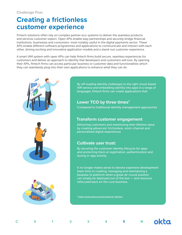### **Creating a frictionless customer experience**

Fintech solutions often rely on complex partner eco-systems to deliver the seamless products and services customer expect. Open APIs enable easy partnerships and securely bridge financial institutions, businesses and consumers: most notably useful in the digital payments sector. These APIs enable different software programmes and applications to communicate and interact with each other, driving exciting and innovative application models and a stand-out customer experience.

A smart IAM system with open APIs can help fintech firms build secure, seamless experiences for customers and deliver an approach to identity that developers and customers will love. By opening their APIs, fintech firms can access particular business or customer data and functionalities which they can seamlessly plug into their own applications to enhance what they can do.







By off-loading identity challenges to the right cloud-based IAM service and embedding identity into apps in a range of languages, fintech firms can create applications that:

### Lower TCO by three times<sup>5</sup>

Compared to traditional identity management approaches

### **Transform customer engagement**

Attracting customers and maximizing their lifetime value by creating advanced, frictionless, omni-channel and personalised digital experiences

### **Cultivate user trust:**

By securing the customer identity lifecycle for apps and protecting them at registration, authentication and during in-app activity.

It no longer makes sense to devote expensive development team time to creating, managing and maintaining a bespoke IA platform when a great all-round solution can simply be deployed out of the box — and resource refocused back on the core business.

5 https://www.okta.com/uk/customer-identity/

| ۰,<br>×. |  |  |
|----------|--|--|
|          |  |  |
| ł        |  |  |
| ٠<br>٠   |  |  |

**C S 1 2 3 4 5 N**